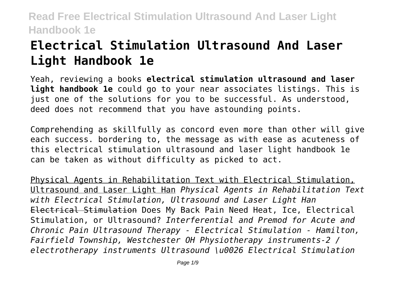# **Electrical Stimulation Ultrasound And Laser Light Handbook 1e**

Yeah, reviewing a books **electrical stimulation ultrasound and laser light handbook 1e** could go to your near associates listings. This is just one of the solutions for you to be successful. As understood, deed does not recommend that you have astounding points.

Comprehending as skillfully as concord even more than other will give each success. bordering to, the message as with ease as acuteness of this electrical stimulation ultrasound and laser light handbook 1e can be taken as without difficulty as picked to act.

Physical Agents in Rehabilitation Text with Electrical Stimulation, Ultrasound and Laser Light Han *Physical Agents in Rehabilitation Text with Electrical Stimulation, Ultrasound and Laser Light Han* Electrical Stimulation Does My Back Pain Need Heat, Ice, Electrical Stimulation, or Ultrasound? *Interferential and Premod for Acute and Chronic Pain Ultrasound Therapy - Electrical Stimulation - Hamilton, Fairfield Township, Westchester OH Physiotherapy instruments-2 / electrotherapy instruments Ultrasound \u0026 Electrical Stimulation*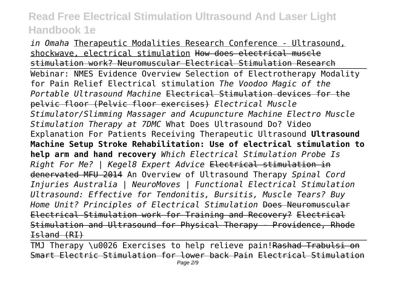*in Omaha* Therapeutic Modalities Research Conference - Ultrasound, shockwave, electrical stimulation How does electrical muscle stimulation work? Neuromuscular Electrical Stimulation Research Webinar: NMES Evidence Overview Selection of Electrotherapy Modality for Pain Relief Electrical stimulation *The Voodoo Magic of the Portable Ultrasound Machine* Electrical Stimulation devices for the pelvic floor (Pelvic floor exercises) *Electrical Muscle Stimulator/Slimming Massager and Acupuncture Machine Electro Muscle Stimulation Therapy at 7DMC* What Does Ultrasound Do? Video Explanation For Patients Receiving Therapeutic Ultrasound **Ultrasound Machine Setup Stroke Rehabilitation: Use of electrical stimulation to help arm and hand recovery** *Which Electrical Stimulation Probe Is Right For Me? | Kegel8 Expert Advice* Electrical stimulation in denervated MFU 2014 An Overview of Ultrasound Therapy *Spinal Cord Injuries Australia | NeuroMoves | Functional Electrical Stimulation Ultrasound: Effective for Tendonitis, Bursitis, Muscle Tears? Buy Home Unit? Principles of Electrical Stimulation* Does Neuromuscular Electrical Stimulation work for Training and Recovery? Electrical Stimulation and Ultrasound for Physical Therapy - Providence, Rhode Island (RI)

TMJ Therapy \u0026 Exercises to help relieve pain!Rashad Trabulsi on Smart Electric Stimulation for lower back Pain Electrical Stimulation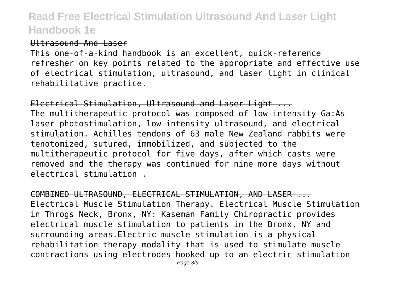#### Ultrasound And Laser

This one-of-a-kind handbook is an excellent, quick-reference refresher on key points related to the appropriate and effective use of electrical stimulation, ultrasound, and laser light in clinical rehabilitative practice.

Electrical Stimulation, Ultrasound and Laser Light ... The multitherapeutic protocol was composed of low-intensity Ga:As laser photostimulation, low intensity ultrasound, and electrical stimulation. Achilles tendons of 63 male New Zealand rabbits were tenotomized, sutured, immobilized, and subjected to the multitherapeutic protocol for five days, after which casts were removed and the therapy was continued for nine more days without electrical stimulation .

COMBINED ULTRASOUND, ELECTRICAL STIMULATION, AND LASER ... Electrical Muscle Stimulation Therapy. Electrical Muscle Stimulation in Throgs Neck, Bronx, NY: Kaseman Family Chiropractic provides electrical muscle stimulation to patients in the Bronx, NY and surrounding areas.Electric muscle stimulation is a physical rehabilitation therapy modality that is used to stimulate muscle contractions using electrodes hooked up to an electric stimulation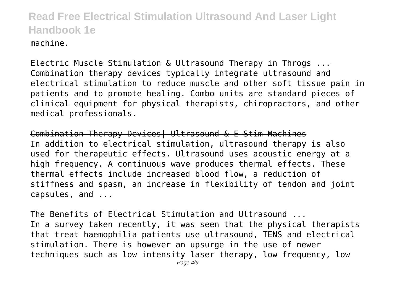machine.

Electric Muscle Stimulation & Ultrasound Therapy in Throgs ... Combination therapy devices typically integrate ultrasound and electrical stimulation to reduce muscle and other soft tissue pain in patients and to promote healing. Combo units are standard pieces of clinical equipment for physical therapists, chiropractors, and other medical professionals.

Combination Therapy Devices| Ultrasound & E-Stim Machines In addition to electrical stimulation, ultrasound therapy is also used for therapeutic effects. Ultrasound uses acoustic energy at a high frequency. A continuous wave produces thermal effects. These thermal effects include increased blood flow, a reduction of stiffness and spasm, an increase in flexibility of tendon and joint capsules, and ...

The Benefits of Electrical Stimulation and Ultrasound ... In a survey taken recently, it was seen that the physical therapists that treat haemophilia patients use ultrasound, TENS and electrical stimulation. There is however an upsurge in the use of newer techniques such as low intensity laser therapy, low frequency, low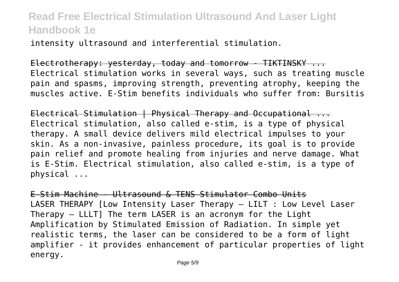intensity ultrasound and interferential stimulation.

Electrotherapy: yesterday, today and tomorrow - TIKTINSKY ... Electrical stimulation works in several ways, such as treating muscle pain and spasms, improving strength, preventing atrophy, keeping the muscles active. E-Stim benefits individuals who suffer from: Bursitis

Electrical Stimulation | Physical Therapy and Occupational ... Electrical stimulation, also called e-stim, is a type of physical therapy. A small device delivers mild electrical impulses to your skin. As a non-invasive, painless procedure, its goal is to provide pain relief and promote healing from injuries and nerve damage. What is E-Stim. Electrical stimulation, also called e-stim, is a type of physical ...

E-Stim Machine - Ultrasound & TENS Stimulator Combo Units LASER THERAPY [Low Intensity Laser Therapy – LILT : Low Level Laser Therapy – LLLT] The term LASER is an acronym for the Light Amplification by Stimulated Emission of Radiation. In simple yet realistic terms, the laser can be considered to be a form of light amplifier - it provides enhancement of particular properties of light energy.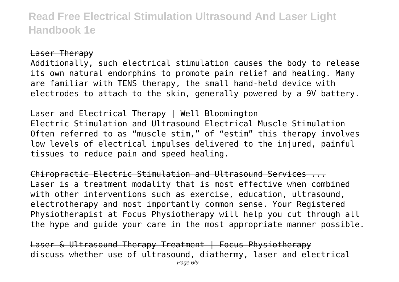#### Laser Therapy

Additionally, such electrical stimulation causes the body to release its own natural endorphins to promote pain relief and healing. Many are familiar with TENS therapy, the small hand-held device with electrodes to attach to the skin, generally powered by a 9V battery.

#### Laser and Electrical Therapy | Well Bloomington

Electric Stimulation and Ultrasound Electrical Muscle Stimulation Often referred to as "muscle stim," of "estim" this therapy involves low levels of electrical impulses delivered to the injured, painful tissues to reduce pain and speed healing.

Chiropractic Electric Stimulation and Ultrasound Services ... Laser is a treatment modality that is most effective when combined with other interventions such as exercise, education, ultrasound, electrotherapy and most importantly common sense. Your Registered Physiotherapist at Focus Physiotherapy will help you cut through all the hype and guide your care in the most appropriate manner possible.

Laser & Ultrasound Therapy Treatment | Focus Physiotherapy discuss whether use of ultrasound, diathermy, laser and electrical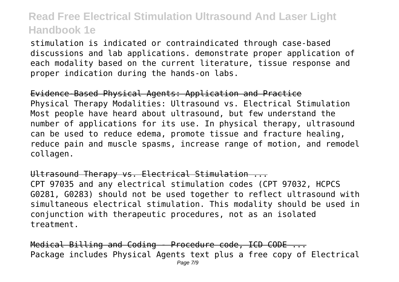stimulation is indicated or contraindicated through case-based discussions and lab applications. demonstrate proper application of each modality based on the current literature, tissue response and proper indication during the hands-on labs.

Evidence-Based Physical Agents: Application and Practice Physical Therapy Modalities: Ultrasound vs. Electrical Stimulation Most people have heard about ultrasound, but few understand the number of applications for its use. In physical therapy, ultrasound can be used to reduce edema, promote tissue and fracture healing, reduce pain and muscle spasms, increase range of motion, and remodel collagen.

Ultrasound Therapy vs. Electrical Stimulation ...

CPT 97035 and any electrical stimulation codes (CPT 97032, HCPCS G0281, G0283) should not be used together to reflect ultrasound with simultaneous electrical stimulation. This modality should be used in conjunction with therapeutic procedures, not as an isolated treatment.

Medical Billing and Coding - Procedure code, ICD CODE ... Package includes Physical Agents text plus a free copy of Electrical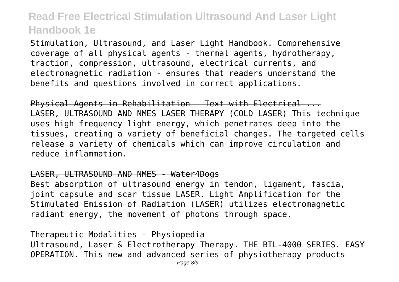Stimulation, Ultrasound, and Laser Light Handbook. Comprehensive coverage of all physical agents - thermal agents, hydrotherapy, traction, compression, ultrasound, electrical currents, and electromagnetic radiation - ensures that readers understand the benefits and questions involved in correct applications.

Physical Agents in Rehabilitation - Text with Electrical ... LASER, ULTRASOUND AND NMES LASER THERAPY (COLD LASER) This technique uses high frequency light energy, which penetrates deep into the tissues, creating a variety of beneficial changes. The targeted cells release a variety of chemicals which can improve circulation and reduce inflammation.

#### LASER, ULTRASOUND AND NMES - Water4Dogs

Best absorption of ultrasound energy in tendon, ligament, fascia, joint capsule and scar tissue LASER. Light Amplification for the Stimulated Emission of Radiation (LASER) utilizes electromagnetic radiant energy, the movement of photons through space.

#### Therapeutic Modalities - Physiopedia

Ultrasound, Laser & Electrotherapy Therapy. THE BTL-4000 SERIES. EASY OPERATION. This new and advanced series of physiotherapy products